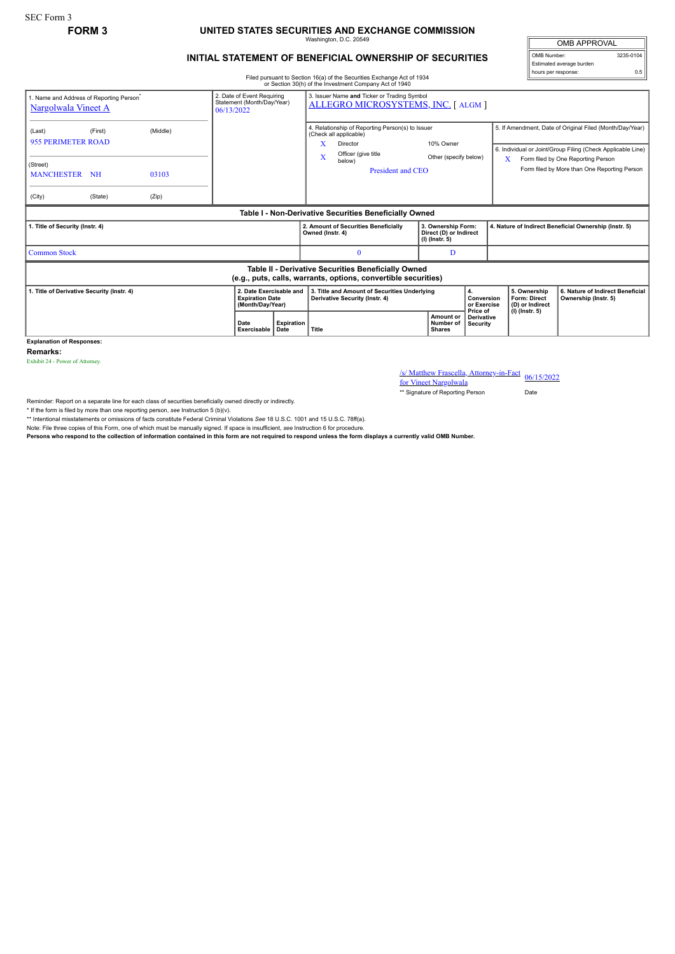## **FORM 3 UNITED STATES SECURITIES AND EXCHANGE COMMISSION**

Washington, D.C. 20549

OMB APPROVAL OMB Number: 3235-0104

hours per response: 0.5

Estimated average burden

## **INITIAL STATEMENT OF BENEFICIAL OWNERSHIP OF SECURITIES**

Filed pursuant to Section 16(a) of the Securities Exchange Act of 1934 or Section 30(h) of the Investment Company Act of 1940

| 1. Name and Address of Reporting Person<br>Nargolwala Vineet A                                                        | 2. Date of Event Requiring<br>Statement (Month/Day/Year)<br>06/13/2022 |       | 3. Issuer Name and Ticker or Trading Symbol<br>ALLEGRO MICROSYSTEMS, INC. [ ALGM ] |                                                                                                               |                                                                                             |                                                                                                          |                                                                                         |                                         |                                                       |                                                                                                                         |                                                          |  |
|-----------------------------------------------------------------------------------------------------------------------|------------------------------------------------------------------------|-------|------------------------------------------------------------------------------------|---------------------------------------------------------------------------------------------------------------|---------------------------------------------------------------------------------------------|----------------------------------------------------------------------------------------------------------|-----------------------------------------------------------------------------------------|-----------------------------------------|-------------------------------------------------------|-------------------------------------------------------------------------------------------------------------------------|----------------------------------------------------------|--|
| (Last)                                                                                                                | (First)<br>(Middle)<br><b>955 PERIMETER ROAD</b>                       |       |                                                                                    |                                                                                                               | 4. Relationship of Reporting Person(s) to Issuer<br>(Check all applicable)<br>x<br>Director |                                                                                                          |                                                                                         | 10% Owner                               |                                                       | 5. If Amendment, Date of Original Filed (Month/Day/Year)<br>6. Individual or Joint/Group Filing (Check Applicable Line) |                                                          |  |
| (Street)<br>MANCHESTER NH                                                                                             |                                                                        | 03103 |                                                                                    | Officer (give title<br>$\overline{\mathbf{X}}$<br>Other (specify below)<br>below)<br><b>President and CEO</b> |                                                                                             |                                                                                                          | Form filed by One Reporting Person<br>X<br>Form filed by More than One Reporting Person |                                         |                                                       |                                                                                                                         |                                                          |  |
| (City)                                                                                                                | (State)                                                                | (Zip) |                                                                                    |                                                                                                               |                                                                                             |                                                                                                          |                                                                                         |                                         |                                                       |                                                                                                                         |                                                          |  |
| Table I - Non-Derivative Securities Beneficially Owned                                                                |                                                                        |       |                                                                                    |                                                                                                               |                                                                                             |                                                                                                          |                                                                                         |                                         |                                                       |                                                                                                                         |                                                          |  |
| 1. Title of Security (Instr. 4)                                                                                       |                                                                        |       |                                                                                    |                                                                                                               | Owned (Instr. 4)                                                                            | 2. Amount of Securities Beneficially<br>3. Ownership Form:<br>Direct (D) or Indirect<br>$(I)$ (Instr. 5) |                                                                                         |                                         | 4. Nature of Indirect Beneficial Ownership (Instr. 5) |                                                                                                                         |                                                          |  |
| <b>Common Stock</b>                                                                                                   |                                                                        |       |                                                                                    |                                                                                                               |                                                                                             |                                                                                                          |                                                                                         | D                                       |                                                       |                                                                                                                         |                                                          |  |
| Table II - Derivative Securities Beneficially Owned<br>(e.g., puts, calls, warrants, options, convertible securities) |                                                                        |       |                                                                                    |                                                                                                               |                                                                                             |                                                                                                          |                                                                                         |                                         |                                                       |                                                                                                                         |                                                          |  |
| 1. Title of Derivative Security (Instr. 4)                                                                            |                                                                        |       |                                                                                    | 2. Date Exercisable and<br><b>Expiration Date</b><br>(Month/Day/Year)                                         |                                                                                             | 3. Title and Amount of Securities Underlying<br><b>Derivative Security (Instr. 4)</b>                    |                                                                                         | 4.<br>Conversion<br>or Exercise         |                                                       | 5. Ownership<br>Form: Direct<br>(D) or Indirect                                                                         | 6. Nature of Indirect Beneficial<br>Ownership (Instr. 5) |  |
|                                                                                                                       |                                                                        |       | Date<br>Exercisable   Date                                                         | Expiration                                                                                                    | Title                                                                                       |                                                                                                          |                                                                                         | Amount or<br>Number of<br><b>Shares</b> | Price of<br><b>Derivative</b><br><b>Security</b>      |                                                                                                                         | $(I)$ (lnstr. 5)                                         |  |

**Explanation of Responses:**

**Remarks:**

Exhibit 24 - Power of Attorney.

/s/ Matthew Frascella, Attorney-in-Fact for Vineet Nargolwala 06/15/2022

\*\* Signature of Reporting Person Date

Reminder: Report on a separate line for each class of securities beneficially owned directly or indirectly.

\* If the form is filed by more than one reporting person, *see* Instruction 5 (b)(v).

\*\* Intentional misstatements or omissions of facts constitute Federal Criminal Violations *See* 18 U.S.C. 1001 and 15 U.S.C. 78ff(a).

Note: File three copies of this Form, one of which must be manually signed. If space is insufficient, *see* Instruction 6 for procedure.

**Persons who respond to the collection of information contained in this form are not required to respond unless the form displays a currently valid OMB Number.**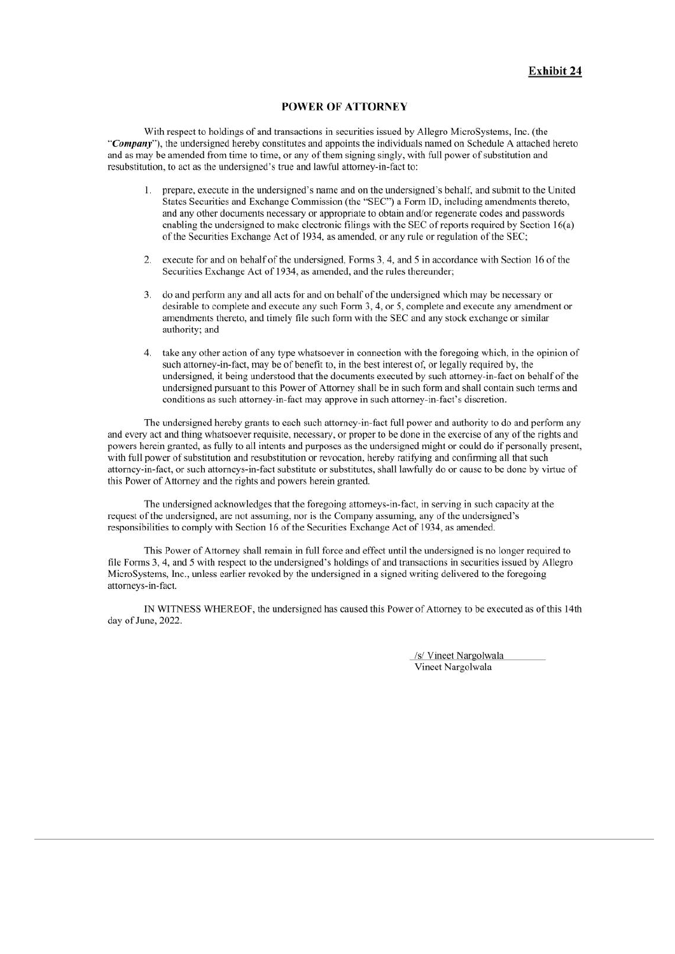## POWER OF ATTORNEY

With respect to holdings of and transactions in securities issued by Allegro MicroSystems, Inc. (the "Company"), the undersigned hereby constitutes and appoints the individuals named on Schedule A attached hereto and as may be amended from time to time, or any of them signing singly, with full power of substitution and resubstitution, to act as the undersigned's true and lawful attorney-in-fact to:

- prepare, execute in the undersigned's name and on the undersigned's behalf, and submit to the United  $1.$ States Securities and Exchange Commission (the "SEC") a Form ID, including amendments thereto. and any other documents necessary or appropriate to obtain and/or regenerate codes and passwords enabling the undersigned to make electronic filings with the SEC of reports required by Section 16(a) of the Securities Exchange Act of 1934, as amended, or any rule or regulation of the SEC;
- 2. execute for and on behalf of the undersigned, Forms 3, 4, and 5 in accordance with Section 16 of the Securities Exchange Act of 1934, as amended, and the rules thereunder:
- do and perform any and all acts for and on behalf of the undersigned which may be necessary or 3. desirable to complete and execute any such Form 3, 4, or 5, complete and execute any amendment or amendments thereto, and timely file such form with the SEC and any stock exchange or similar authority; and
- $\overline{4}$ take any other action of any type whatsoever in connection with the foregoing which, in the opinion of such attorney-in-fact, may be of benefit to, in the best interest of, or legally required by, the undersigned, it being understood that the documents executed by such attorney-in-fact on behalf of the undersigned pursuant to this Power of Attorney shall be in such form and shall contain such terms and conditions as such attorney-in-fact may approve in such attorney-in-fact's discretion.

The undersigned hereby grants to each such attorney-in-fact full power and authority to do and perform any and every act and thing whatsoever requisite, necessary, or proper to be done in the exercise of any of the rights and powers herein granted, as fully to all intents and purposes as the undersigned might or could do if personally present. with full power of substitution and resubstitution or revocation, hereby ratifying and confirming all that such attorney-in-fact, or such attorneys-in-fact substitute or substitutes, shall lawfully do or cause to be done by virtue of this Power of Attorney and the rights and powers herein granted.

The undersigned acknowledges that the foregoing attorneys-in-fact, in serving in such capacity at the request of the undersigned, are not assuming, nor is the Company assuming, any of the undersigned's responsibilities to comply with Section 16 of the Securities Exchange Act of 1934, as amended.

This Power of Attorney shall remain in full force and effect until the undersigned is no longer required to file Forms 3, 4, and 5 with respect to the undersigned's holdings of and transactions in securities issued by Allegro MicroSystems, Inc., unless earlier revoked by the undersigned in a signed writing delivered to the foregoing attorneys-in-fact.

IN WITNESS WHEREOF, the undersigned has caused this Power of Attorney to be executed as of this 14th day of June, 2022.

> /s/ Vineet Nargolwala Vineet Nargolwala